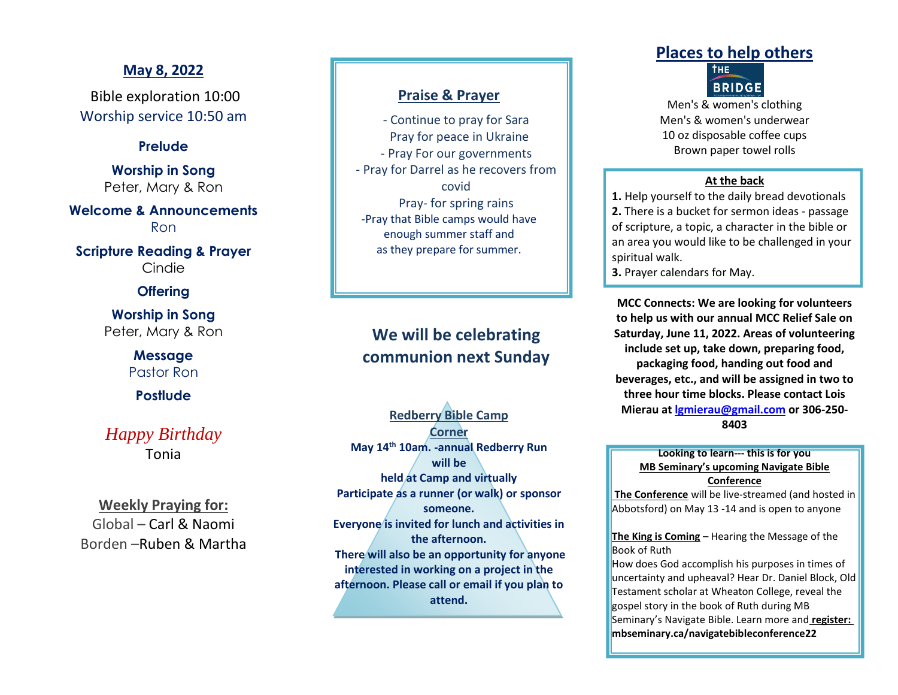## **May 8, 2022**

Bible exploration 10:00 Worship service 10:50 am

### **Prelude**

**Worship in Song** Peter, Mary & Ron

**Welcome & Announcements** Ron

**Scripture Reading & Prayer** Cindie

## **Offering**

**Worship in Song** Peter, Mary & Ron

> **Message** Pastor Ron

**Postlude**

# *Happy Birthday* Tonia

**Weekly Praying for:** Global – Carl & Naomi Borden –Ruben & Martha

## **Praise & Prayer**

- Continue to pray for Sara Pray for peace in Ukraine - Pray For our governments - Pray for Darrel as he recovers from covid Pray- for spring rains -Pray that Bible camps would have enough summer staff and as they prepare for summer.

# **We will be celebrating communion next Sunday**

**Redberry Bible Camp Corner May 14th 10am. -annual Redberry Run will be held at Camp and virtually Participate as a runner (or walk) or sponsor someone. Everyone is invited for lunch and activities in the afternoon. There will also be an opportunity for anyone interested in working on a project in the afternoon. Please call or email if you plan to attend.**

# **Places to help others**



Men's & women's clothing Men's & women's underwear 10 oz disposable coffee cups Brown paper towel rolls

#### **At the back**

**1.** Help yourself to the daily bread devotionals **2.** There is a bucket for sermon ideas - passage of scripture, a topic, a character in the bible or an area you would like to be challenged in your spiritual walk.

**3.** Prayer calendars for May.

**MCC Connects: We are looking for volunteers to help us with our annual MCC Relief Sale on Saturday, June 11, 2022. Areas of volunteering include set up, take down, preparing food, packaging food, handing out food and beverages, etc., and will be assigned in two to three hour time blocks. Please contact Lois Mierau at [lgmierau@gmail.com](mailto:lgmierau@gmail.com) or 306-250- 8403**

#### **Looking to learn--- this is for you MB Seminary's upcoming Navigate Bible Conference**

**The Conference** will be live-streamed (and hosted in Abbotsford) on May 13 -14 and is open to anyone

**The King is Coming** – Hearing the Message of the Book of Ruth

How does God accomplish his purposes in times of uncertainty and upheaval? Hear Dr. Daniel Block, Old Testament scholar at Wheaton College, reveal the gospel story in the book of Ruth during MB Seminary's Navigate Bible. Learn more and **register: mbseminary.ca/navigatebibleconference22**